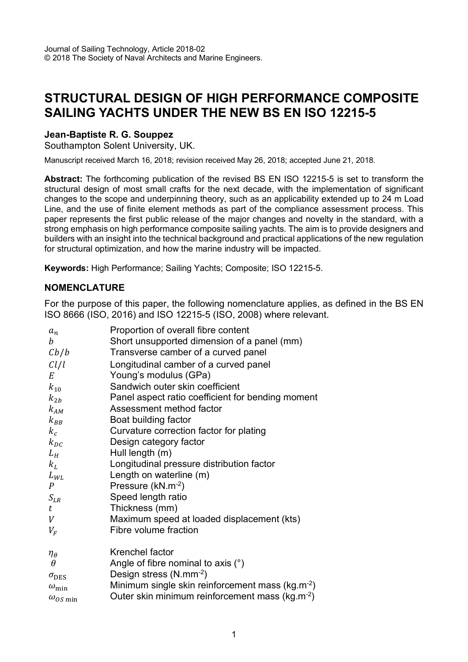# **STRUCTURAL DESIGN OF HIGH PERFORMANCE COMPOSITE SAILING YACHTS UNDER THE NEW BS EN ISO 12215-5**

### **Jean-Baptiste R. G. Souppez**

Southampton Solent University, UK.

Manuscript received March 16, 2018; revision received May 26, 2018; accepted June 21, 2018.

**Abstract:** The forthcoming publication of the revised BS EN ISO 12215-5 is set to transform the structural design of most small crafts for the next decade, with the implementation of significant changes to the scope and underpinning theory, such as an applicability extended up to 24 m Load Line, and the use of finite element methods as part of the compliance assessment process. This paper represents the first public release of the major changes and novelty in the standard, with a strong emphasis on high performance composite sailing yachts. The aim is to provide designers and builders with an insight into the technical background and practical applications of the new regulation for structural optimization, and how the marine industry will be impacted.

**Keywords:** High Performance; Sailing Yachts; Composite; ISO 12215-5.

#### **NOMENCLATURE**

For the purpose of this paper, the following nomenclature applies, as defined in the BS EN ISO 8666 (ISO, 2016) and ISO 12215-5 (ISO, 2008) where relevant.

|                    | Proportion of overall fibre content                          |
|--------------------|--------------------------------------------------------------|
| $a_n$<br>h         | Short unsupported dimension of a panel (mm)                  |
| Cb/b               | Transverse camber of a curved panel                          |
|                    |                                                              |
| Cl/l               | Longitudinal camber of a curved panel                        |
| E                  | Young's modulus (GPa)                                        |
| $k_{10}$           | Sandwich outer skin coefficient                              |
| $k_{2b}$           | Panel aspect ratio coefficient for bending moment            |
| $k_{AM}$           | Assessment method factor                                     |
| $k_{BB}$           | Boat building factor                                         |
| $k_c$              | Curvature correction factor for plating                      |
| $k_{DC}$           | Design category factor                                       |
| $L_H$              | Hull length (m)                                              |
| $k_L$              | Longitudinal pressure distribution factor                    |
| ${\cal L}_{WL}$    | Length on waterline (m)                                      |
| $\overline{P}$     | Pressure (kN.m <sup>-2</sup> )                               |
| $S_{LR}$           | Speed length ratio                                           |
| t                  | Thickness (mm)                                               |
| V                  | Maximum speed at loaded displacement (kts)                   |
| $V_F$              | Fibre volume fraction                                        |
| $\eta_{\theta}$    | Krenchel factor                                              |
| $\theta$           | Angle of fibre nominal to axis $(°)$                         |
| $\sigma_{\rm DES}$ | Design stress $(N.nm^{-2})$                                  |
| $\omega_{\rm min}$ | Minimum single skin reinforcement mass (kg.m <sup>-2</sup> ) |
|                    | Outer skin minimum reinforcement mass (kg.m <sup>-2</sup> )  |
| $\omega_{OS}$ min  |                                                              |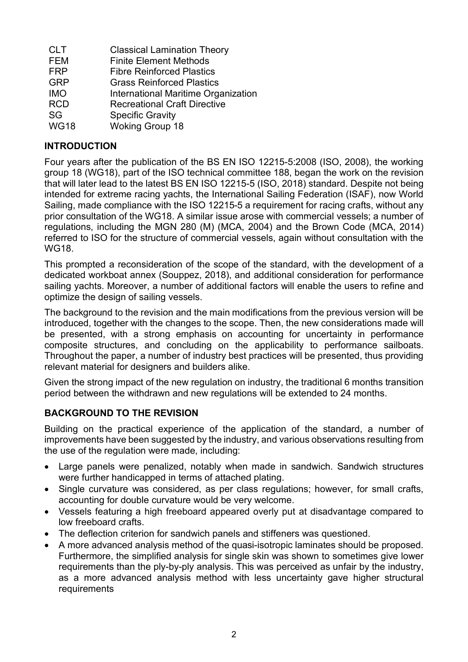| <b>CLT</b>  | <b>Classical Lamination Theory</b>  |
|-------------|-------------------------------------|
| <b>FEM</b>  | <b>Finite Element Methods</b>       |
| <b>FRP</b>  | <b>Fibre Reinforced Plastics</b>    |
| <b>GRP</b>  | <b>Grass Reinforced Plastics</b>    |
| <b>IMO</b>  | International Maritime Organization |
| <b>RCD</b>  | <b>Recreational Craft Directive</b> |
| SG          | <b>Specific Gravity</b>             |
| <b>WG18</b> | <b>Woking Group 18</b>              |

# **INTRODUCTION**

Four years after the publication of the BS EN ISO 12215-5:2008 (ISO, 2008), the working group 18 (WG18), part of the ISO technical committee 188, began the work on the revision that will later lead to the latest BS EN ISO 12215-5 (ISO, 2018) standard. Despite not being intended for extreme racing yachts, the International Sailing Federation (ISAF), now World Sailing, made compliance with the ISO 12215-5 a requirement for racing crafts, without any prior consultation of the WG18. A similar issue arose with commercial vessels; a number of regulations, including the MGN 280 (M) (MCA, 2004) and the Brown Code (MCA, 2014) referred to ISO for the structure of commercial vessels, again without consultation with the WG18.

This prompted a reconsideration of the scope of the standard, with the development of a dedicated workboat annex (Souppez, 2018), and additional consideration for performance sailing yachts. Moreover, a number of additional factors will enable the users to refine and optimize the design of sailing vessels.

The background to the revision and the main modifications from the previous version will be introduced, together with the changes to the scope. Then, the new considerations made will be presented, with a strong emphasis on accounting for uncertainty in performance composite structures, and concluding on the applicability to performance sailboats. Throughout the paper, a number of industry best practices will be presented, thus providing relevant material for designers and builders alike.

Given the strong impact of the new regulation on industry, the traditional 6 months transition period between the withdrawn and new regulations will be extended to 24 months.

# **BACKGROUND TO THE REVISION**

Building on the practical experience of the application of the standard, a number of improvements have been suggested by the industry, and various observations resulting from the use of the regulation were made, including:

- Large panels were penalized, notably when made in sandwich. Sandwich structures were further handicapped in terms of attached plating.
- Single curvature was considered, as per class regulations; however, for small crafts, accounting for double curvature would be very welcome.
- Vessels featuring a high freeboard appeared overly put at disadvantage compared to low freeboard crafts.
- The deflection criterion for sandwich panels and stiffeners was questioned.
- A more advanced analysis method of the quasi-isotropic laminates should be proposed. Furthermore, the simplified analysis for single skin was shown to sometimes give lower requirements than the ply-by-ply analysis. This was perceived as unfair by the industry, as a more advanced analysis method with less uncertainty gave higher structural requirements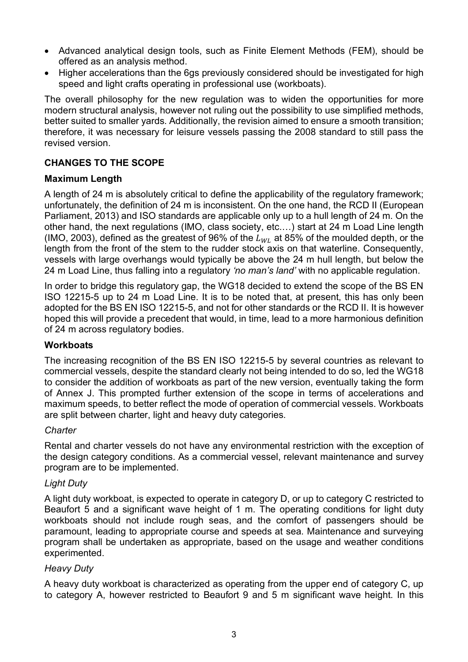- Advanced analytical design tools, such as Finite Element Methods (FEM), should be offered as an analysis method.
- Higher accelerations than the 6gs previously considered should be investigated for high speed and light crafts operating in professional use (workboats).

The overall philosophy for the new regulation was to widen the opportunities for more modern structural analysis, however not ruling out the possibility to use simplified methods, better suited to smaller yards. Additionally, the revision aimed to ensure a smooth transition; therefore, it was necessary for leisure vessels passing the 2008 standard to still pass the revised version.

### **CHANGES TO THE SCOPE**

### **Maximum Length**

A length of 24 m is absolutely critical to define the applicability of the regulatory framework; unfortunately, the definition of 24 m is inconsistent. On the one hand, the RCD II (European Parliament, 2013) and ISO standards are applicable only up to a hull length of 24 m. On the other hand, the next regulations (IMO, class society, etc.…) start at 24 m Load Line length (IMO, 2003), defined as the greatest of 96% of the  $L_{W1}$  at 85% of the moulded depth, or the length from the front of the stem to the rudder stock axis on that waterline. Consequently, vessels with large overhangs would typically be above the 24 m hull length, but below the 24 m Load Line, thus falling into a regulatory *'no man's land'* with no applicable regulation.

In order to bridge this regulatory gap, the WG18 decided to extend the scope of the BS EN ISO 12215-5 up to 24 m Load Line. It is to be noted that, at present, this has only been adopted for the BS EN ISO 12215-5, and not for other standards or the RCD II. It is however hoped this will provide a precedent that would, in time, lead to a more harmonious definition of 24 m across regulatory bodies.

#### **Workboats**

The increasing recognition of the BS EN ISO 12215-5 by several countries as relevant to commercial vessels, despite the standard clearly not being intended to do so, led the WG18 to consider the addition of workboats as part of the new version, eventually taking the form of Annex J. This prompted further extension of the scope in terms of accelerations and maximum speeds, to better reflect the mode of operation of commercial vessels. Workboats are split between charter, light and heavy duty categories.

#### *Charter*

Rental and charter vessels do not have any environmental restriction with the exception of the design category conditions. As a commercial vessel, relevant maintenance and survey program are to be implemented.

#### *Light Duty*

A light duty workboat, is expected to operate in category D, or up to category C restricted to Beaufort 5 and a significant wave height of 1 m. The operating conditions for light duty workboats should not include rough seas, and the comfort of passengers should be paramount, leading to appropriate course and speeds at sea. Maintenance and surveying program shall be undertaken as appropriate, based on the usage and weather conditions experimented.

#### *Heavy Duty*

A heavy duty workboat is characterized as operating from the upper end of category C, up to category A, however restricted to Beaufort 9 and 5 m significant wave height. In this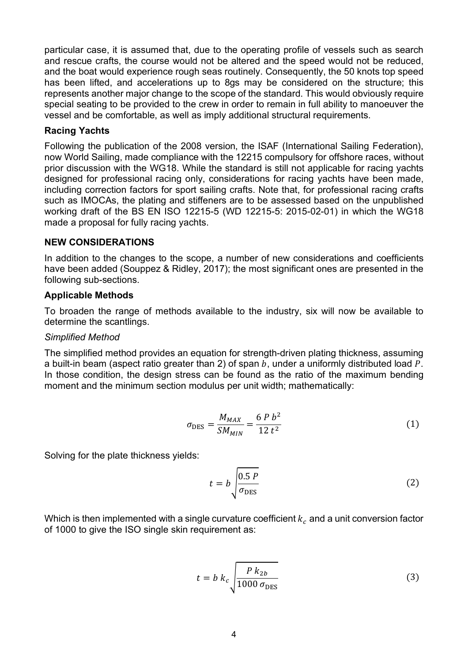particular case, it is assumed that, due to the operating profile of vessels such as search and rescue crafts, the course would not be altered and the speed would not be reduced, and the boat would experience rough seas routinely. Consequently, the 50 knots top speed has been lifted, and accelerations up to 8gs may be considered on the structure; this represents another major change to the scope of the standard. This would obviously require special seating to be provided to the crew in order to remain in full ability to manoeuver the vessel and be comfortable, as well as imply additional structural requirements.

#### **Racing Yachts**

Following the publication of the 2008 version, the ISAF (International Sailing Federation), now World Sailing, made compliance with the 12215 compulsory for offshore races, without prior discussion with the WG18. While the standard is still not applicable for racing yachts designed for professional racing only, considerations for racing yachts have been made, including correction factors for sport sailing crafts. Note that, for professional racing crafts such as IMOCAs, the plating and stiffeners are to be assessed based on the unpublished working draft of the BS EN ISO 12215-5 (WD 12215-5: 2015-02-01) in which the WG18 made a proposal for fully racing yachts.

#### **NEW CONSIDERATIONS**

In addition to the changes to the scope, a number of new considerations and coefficients have been added (Souppez & Ridley, 2017); the most significant ones are presented in the following sub-sections.

#### **Applicable Methods**

To broaden the range of methods available to the industry, six will now be available to determine the scantlings.

#### *Simplified Method*

The simplified method provides an equation for strength-driven plating thickness, assuming a built-in beam (aspect ratio greater than 2) of span  $b$ , under a uniformly distributed load  $P$ . In those condition, the design stress can be found as the ratio of the maximum bending moment and the minimum section modulus per unit width; mathematically:

$$
\sigma_{\rm DES} = \frac{M_{MAX}}{SM_{MIN}} = \frac{6 \, P \, b^2}{12 \, t^2} \tag{1}
$$

Solving for the plate thickness yields:

$$
t = b \sqrt{\frac{0.5 \, P}{\sigma_{\text{DES}}}}
$$
 (2)

Which is then implemented with a single curvature coefficient  $k_c$  and a unit conversion factor of 1000 to give the ISO single skin requirement as:

$$
t = b k_c \sqrt{\frac{P k_{2b}}{1000 \sigma_{\text{DES}}}}
$$
 (3)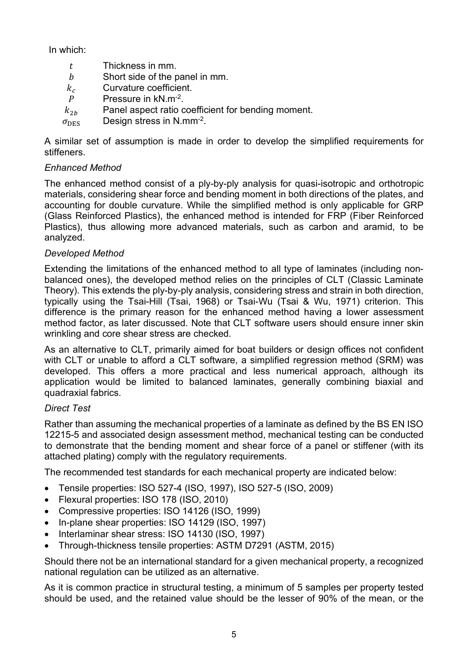In which:

- $t$  Thickness in mm.
- b Short side of the panel in mm.
- $k_c$  Curvature coefficient.<br>  $P$  Pressure in kN.m<sup>-2</sup>.
- Pressure in kN.m-2.
- $k_{2h}$  Panel aspect ratio coefficient for bending moment.
- $\sigma_{\text{DES}}$  Design stress in N.mm<sup>-2</sup>.

A similar set of assumption is made in order to develop the simplified requirements for stiffeners.

# *Enhanced Method*

The enhanced method consist of a ply-by-ply analysis for quasi-isotropic and orthotropic materials, considering shear force and bending moment in both directions of the plates, and accounting for double curvature. While the simplified method is only applicable for GRP (Glass Reinforced Plastics), the enhanced method is intended for FRP (Fiber Reinforced Plastics), thus allowing more advanced materials, such as carbon and aramid, to be analyzed.

## *Developed Method*

Extending the limitations of the enhanced method to all type of laminates (including nonbalanced ones), the developed method relies on the principles of CLT (Classic Laminate Theory). This extends the ply-by-ply analysis, considering stress and strain in both direction, typically using the Tsai-Hill (Tsai, 1968) or Tsai-Wu (Tsai & Wu, 1971) criterion. This difference is the primary reason for the enhanced method having a lower assessment method factor, as later discussed. Note that CLT software users should ensure inner skin wrinkling and core shear stress are checked.

As an alternative to CLT, primarily aimed for boat builders or design offices not confident with CLT or unable to afford a CLT software, a simplified regression method (SRM) was developed. This offers a more practical and less numerical approach, although its application would be limited to balanced laminates, generally combining biaxial and quadraxial fabrics.

## *Direct Test*

Rather than assuming the mechanical properties of a laminate as defined by the BS EN ISO 12215-5 and associated design assessment method, mechanical testing can be conducted to demonstrate that the bending moment and shear force of a panel or stiffener (with its attached plating) comply with the regulatory requirements.

The recommended test standards for each mechanical property are indicated below:

- Tensile properties: ISO 527-4 (ISO, 1997), ISO 527-5 (ISO, 2009)
- Flexural properties: ISO 178 (ISO, 2010)
- Compressive properties: ISO 14126 (ISO, 1999)
- In-plane shear properties: ISO 14129 (ISO, 1997)
- Interlaminar shear stress: ISO 14130 (ISO, 1997)
- Through-thickness tensile properties: ASTM D7291 (ASTM, 2015)

Should there not be an international standard for a given mechanical property, a recognized national regulation can be utilized as an alternative.

As it is common practice in structural testing, a minimum of 5 samples per property tested should be used, and the retained value should be the lesser of 90% of the mean, or the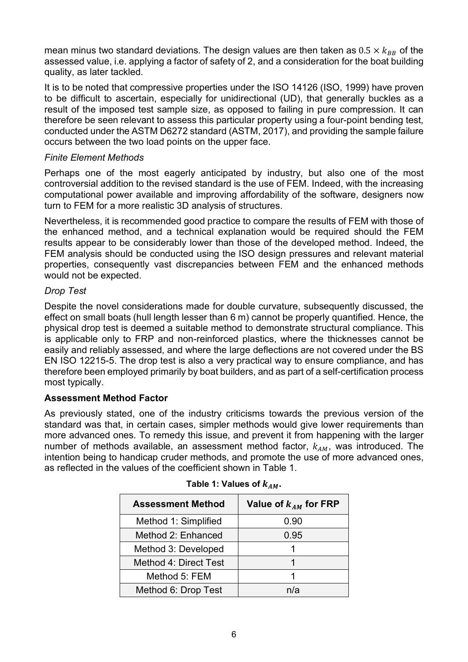mean minus two standard deviations. The design values are then taken as  $0.5 \times k_{BB}$  of the assessed value, i.e. applying a factor of safety of 2, and a consideration for the boat building quality, as later tackled.

It is to be noted that compressive properties under the ISO 14126 (ISO, 1999) have proven to be difficult to ascertain, especially for unidirectional (UD), that generally buckles as a result of the imposed test sample size, as opposed to failing in pure compression. It can therefore be seen relevant to assess this particular property using a four-point bending test, conducted under the ASTM D6272 standard (ASTM, 2017), and providing the sample failure occurs between the two load points on the upper face.

### *Finite Element Methods*

Perhaps one of the most eagerly anticipated by industry, but also one of the most controversial addition to the revised standard is the use of FEM. Indeed, with the increasing computational power available and improving affordability of the software, designers now turn to FEM for a more realistic 3D analysis of structures.

Nevertheless, it is recommended good practice to compare the results of FEM with those of the enhanced method, and a technical explanation would be required should the FEM results appear to be considerably lower than those of the developed method. Indeed, the FEM analysis should be conducted using the ISO design pressures and relevant material properties, consequently vast discrepancies between FEM and the enhanced methods would not be expected.

## *Drop Test*

Despite the novel considerations made for double curvature, subsequently discussed, the effect on small boats (hull length lesser than 6 m) cannot be properly quantified. Hence, the physical drop test is deemed a suitable method to demonstrate structural compliance. This is applicable only to FRP and non-reinforced plastics, where the thicknesses cannot be easily and reliably assessed, and where the large deflections are not covered under the BS EN ISO 12215-5. The drop test is also a very practical way to ensure compliance, and has therefore been employed primarily by boat builders, and as part of a self-certification process most typically.

## **Assessment Method Factor**

As previously stated, one of the industry criticisms towards the previous version of the standard was that, in certain cases, simpler methods would give lower requirements than more advanced ones. To remedy this issue, and prevent it from happening with the larger number of methods available, an assessment method factor,  $k_{AM}$ , was introduced. The intention being to handicap cruder methods, and promote the use of more advanced ones, as reflected in the values of the coefficient shown in Table 1.

| <b>Assessment Method</b> | Value of $k_{AM}$ for FRP |
|--------------------------|---------------------------|
| Method 1: Simplified     | 0.90                      |
| Method 2: Enhanced       | 0.95                      |
| Method 3: Developed      |                           |
| Method 4: Direct Test    |                           |
| Method 5: FEM            |                           |
| Method 6: Drop Test      | n/a                       |

| Table 1: Values of $k_{AM}.$ |  |  |
|------------------------------|--|--|
|------------------------------|--|--|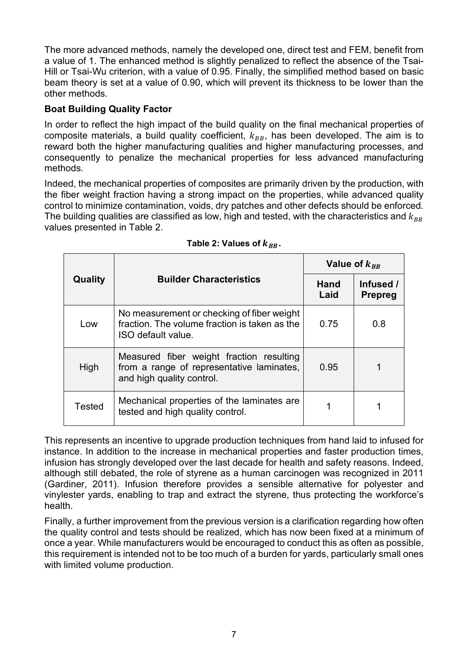The more advanced methods, namely the developed one, direct test and FEM, benefit from a value of 1. The enhanced method is slightly penalized to reflect the absence of the Tsai-Hill or Tsai-Wu criterion, with a value of 0.95. Finally, the simplified method based on basic beam theory is set at a value of 0.90, which will prevent its thickness to be lower than the other methods.

# **Boat Building Quality Factor**

In order to reflect the high impact of the build quality on the final mechanical properties of composite materials, a build quality coefficient,  $k_{BB}$ , has been developed. The aim is to reward both the higher manufacturing qualities and higher manufacturing processes, and consequently to penalize the mechanical properties for less advanced manufacturing methods.

Indeed, the mechanical properties of composites are primarily driven by the production, with the fiber weight fraction having a strong impact on the properties, while advanced quality control to minimize contamination, voids, dry patches and other defects should be enforced. The building qualities are classified as low, high and tested, with the characteristics and  $k_{BR}$ values presented in Table 2.

| Quality       |                                                                                                                    | Value of $k_{BB}$   |                             |
|---------------|--------------------------------------------------------------------------------------------------------------------|---------------------|-----------------------------|
|               | <b>Builder Characteristics</b>                                                                                     | <b>Hand</b><br>Laid | Infused /<br><b>Prepreg</b> |
| Low           | No measurement or checking of fiber weight<br>fraction. The volume fraction is taken as the<br>ISO default value.  | 0.75                | 0.8                         |
| High          | Measured fiber weight fraction resulting<br>from a range of representative laminates,<br>and high quality control. | 0.95                |                             |
| <b>Tested</b> | Mechanical properties of the laminates are.<br>tested and high quality control.                                    |                     |                             |

Table 2: Values of  $k_{BB}$ .

This represents an incentive to upgrade production techniques from hand laid to infused for instance. In addition to the increase in mechanical properties and faster production times, infusion has strongly developed over the last decade for health and safety reasons. Indeed, although still debated, the role of styrene as a human carcinogen was recognized in 2011 (Gardiner, 2011). Infusion therefore provides a sensible alternative for polyester and vinylester yards, enabling to trap and extract the styrene, thus protecting the workforce's health.

Finally, a further improvement from the previous version is a clarification regarding how often the quality control and tests should be realized, which has now been fixed at a minimum of once a year. While manufacturers would be encouraged to conduct this as often as possible, this requirement is intended not to be too much of a burden for yards, particularly small ones with limited volume production.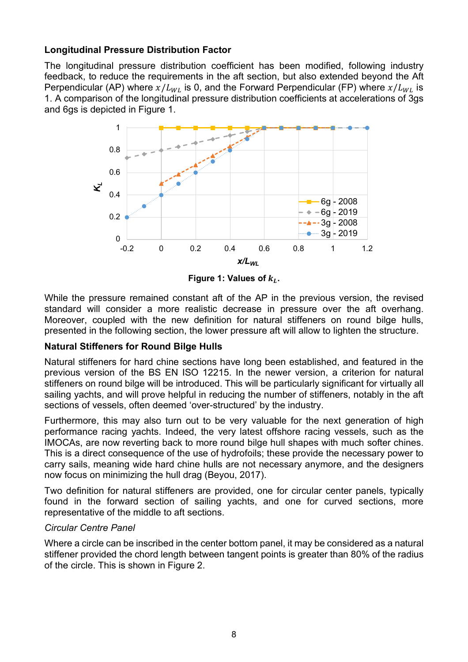### **Longitudinal Pressure Distribution Factor**

The longitudinal pressure distribution coefficient has been modified, following industry feedback, to reduce the requirements in the aft section, but also extended beyond the Aft Perpendicular (AP) where  $x/L_{WL}$  is 0, and the Forward Perpendicular (FP) where  $x/L_{WL}$  is 1. A comparison of the longitudinal pressure distribution coefficients at accelerations of 3gs and 6gs is depicted in Figure 1.



**Figure 1: Values of**  $k_L$ **.** 

While the pressure remained constant aft of the AP in the previous version, the revised standard will consider a more realistic decrease in pressure over the aft overhang. Moreover, coupled with the new definition for natural stiffeners on round bilge hulls, presented in the following section, the lower pressure aft will allow to lighten the structure.

## **Natural Stiffeners for Round Bilge Hulls**

Natural stiffeners for hard chine sections have long been established, and featured in the previous version of the BS EN ISO 12215. In the newer version, a criterion for natural stiffeners on round bilge will be introduced. This will be particularly significant for virtually all sailing yachts, and will prove helpful in reducing the number of stiffeners, notably in the aft sections of vessels, often deemed 'over-structured' by the industry.

Furthermore, this may also turn out to be very valuable for the next generation of high performance racing yachts. Indeed, the very latest offshore racing vessels, such as the IMOCAs, are now reverting back to more round bilge hull shapes with much softer chines. This is a direct consequence of the use of hydrofoils; these provide the necessary power to carry sails, meaning wide hard chine hulls are not necessary anymore, and the designers now focus on minimizing the hull drag (Beyou, 2017).

Two definition for natural stiffeners are provided, one for circular center panels, typically found in the forward section of sailing yachts, and one for curved sections, more representative of the middle to aft sections.

#### *Circular Centre Panel*

Where a circle can be inscribed in the center bottom panel, it may be considered as a natural stiffener provided the chord length between tangent points is greater than 80% of the radius of the circle. This is shown in Figure 2.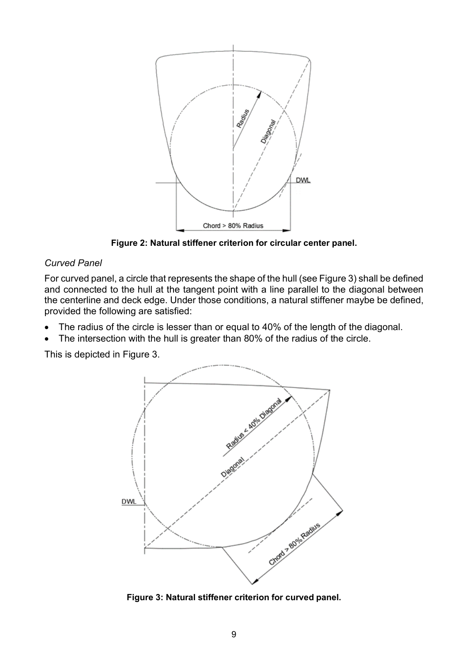

**Figure 2: Natural stiffener criterion for circular center panel.**

## *Curved Panel*

For curved panel, a circle that represents the shape of the hull (see Figure 3) shall be defined and connected to the hull at the tangent point with a line parallel to the diagonal between the centerline and deck edge. Under those conditions, a natural stiffener maybe be defined, provided the following are satisfied:

- The radius of the circle is lesser than or equal to 40% of the length of the diagonal.
- The intersection with the hull is greater than 80% of the radius of the circle.

This is depicted in Figure 3.



**Figure 3: Natural stiffener criterion for curved panel.**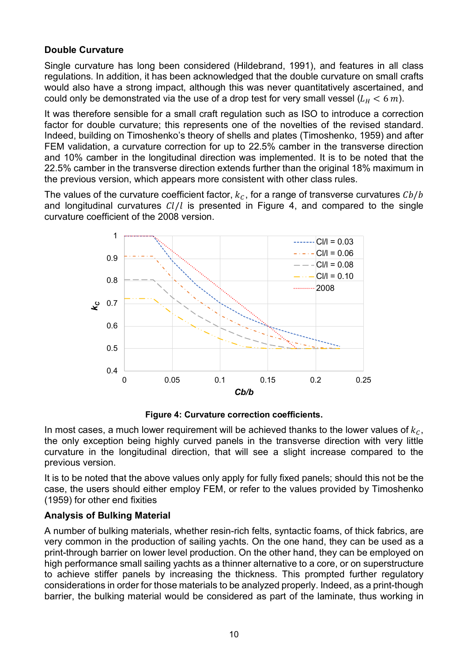### **Double Curvature**

Single curvature has long been considered (Hildebrand, 1991), and features in all class regulations. In addition, it has been acknowledged that the double curvature on small crafts would also have a strong impact, although this was never quantitatively ascertained, and could only be demonstrated via the use of a drop test for very small vessel ( $L_H < 6$  m).

It was therefore sensible for a small craft regulation such as ISO to introduce a correction factor for double curvature; this represents one of the novelties of the revised standard. Indeed, building on Timoshenko's theory of shells and plates (Timoshenko, 1959) and after FEM validation, a curvature correction for up to 22.5% camber in the transverse direction and 10% camber in the longitudinal direction was implemented. It is to be noted that the 22.5% camber in the transverse direction extends further than the original 18% maximum in the previous version, which appears more consistent with other class rules.

The values of the curvature coefficient factor,  $k_c$ , for a range of transverse curvatures  $Cb/b$ and longitudinal curvatures  $Cl/l$  is presented in Figure 4, and compared to the single curvature coefficient of the 2008 version.



**Figure 4: Curvature correction coefficients.**

In most cases, a much lower requirement will be achieved thanks to the lower values of  $k_c$ , the only exception being highly curved panels in the transverse direction with very little curvature in the longitudinal direction, that will see a slight increase compared to the previous version.

It is to be noted that the above values only apply for fully fixed panels; should this not be the case, the users should either employ FEM, or refer to the values provided by Timoshenko (1959) for other end fixities

#### **Analysis of Bulking Material**

A number of bulking materials, whether resin-rich felts, syntactic foams, of thick fabrics, are very common in the production of sailing yachts. On the one hand, they can be used as a print-through barrier on lower level production. On the other hand, they can be employed on high performance small sailing yachts as a thinner alternative to a core, or on superstructure to achieve stiffer panels by increasing the thickness. This prompted further regulatory considerations in order for those materials to be analyzed properly. Indeed, as a print-though barrier, the bulking material would be considered as part of the laminate, thus working in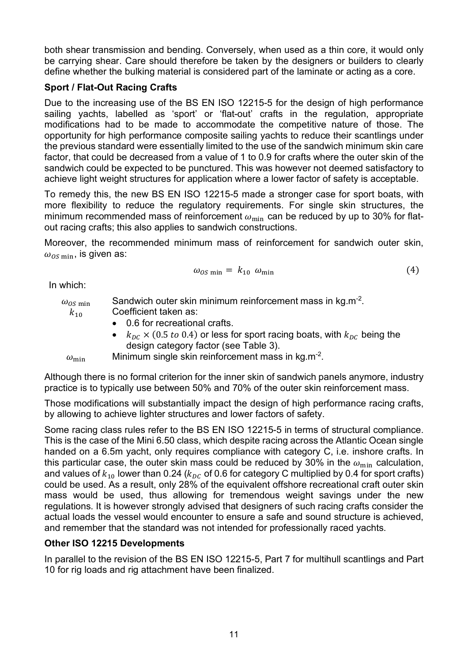both shear transmission and bending. Conversely, when used as a thin core, it would only be carrying shear. Care should therefore be taken by the designers or builders to clearly define whether the bulking material is considered part of the laminate or acting as a core.

# **Sport / Flat-Out Racing Crafts**

Due to the increasing use of the BS EN ISO 12215-5 for the design of high performance sailing yachts, labelled as 'sport' or 'flat-out' crafts in the regulation, appropriate modifications had to be made to accommodate the competitive nature of those. The opportunity for high performance composite sailing yachts to reduce their scantlings under the previous standard were essentially limited to the use of the sandwich minimum skin care factor, that could be decreased from a value of 1 to 0.9 for crafts where the outer skin of the sandwich could be expected to be punctured. This was however not deemed satisfactory to achieve light weight structures for application where a lower factor of safety is acceptable.

To remedy this, the new BS EN ISO 12215-5 made a stronger case for sport boats, with more flexibility to reduce the regulatory requirements. For single skin structures, the minimum recommended mass of reinforcement  $\omega_{\text{min}}$  can be reduced by up to 30% for flatout racing crafts; this also applies to sandwich constructions.

Moreover, the recommended minimum mass of reinforcement for sandwich outer skin,  $\omega_{OS,min}$ , is given as:

$$
\omega_{OS \min} = k_{10} \omega_{\min} \tag{4}
$$

In which:

| $\omega_{OS}$ min | Sandwich outer skin minimum reinforcement mass in kg.m <sup>-2</sup> .                                        |
|-------------------|---------------------------------------------------------------------------------------------------------------|
| $k_{10}$          | Coefficient taken as:                                                                                         |
|                   | • 0.6 for recreational crafts.                                                                                |
|                   | • $k_{\text{nc}} \times (0.5 \text{ to } 0.4)$ or less for sport racing boats, with $k_{\text{nc}}$ being the |
|                   | design category factor (see Table 3).                                                                         |
| $\omega_{\min}$   | Minimum single skin reinforcement mass in kg.m <sup>-2</sup> .                                                |

Although there is no formal criterion for the inner skin of sandwich panels anymore, industry practice is to typically use between 50% and 70% of the outer skin reinforcement mass.

Those modifications will substantially impact the design of high performance racing crafts, by allowing to achieve lighter structures and lower factors of safety.

Some racing class rules refer to the BS EN ISO 12215-5 in terms of structural compliance. This is the case of the Mini 6.50 class, which despite racing across the Atlantic Ocean single handed on a 6.5m yacht, only requires compliance with category C, i.e. inshore crafts. In this particular case, the outer skin mass could be reduced by 30% in the  $\omega_{\min}$  calculation, and values of  $k_{10}$  lower than 0.24 ( $k_{DC}$  of 0.6 for category C multiplied by 0.4 for sport crafts) could be used. As a result, only 28% of the equivalent offshore recreational craft outer skin mass would be used, thus allowing for tremendous weight savings under the new regulations. It is however strongly advised that designers of such racing crafts consider the actual loads the vessel would encounter to ensure a safe and sound structure is achieved, and remember that the standard was not intended for professionally raced yachts.

# **Other ISO 12215 Developments**

In parallel to the revision of the BS EN ISO 12215-5, Part 7 for multihull scantlings and Part 10 for rig loads and rig attachment have been finalized.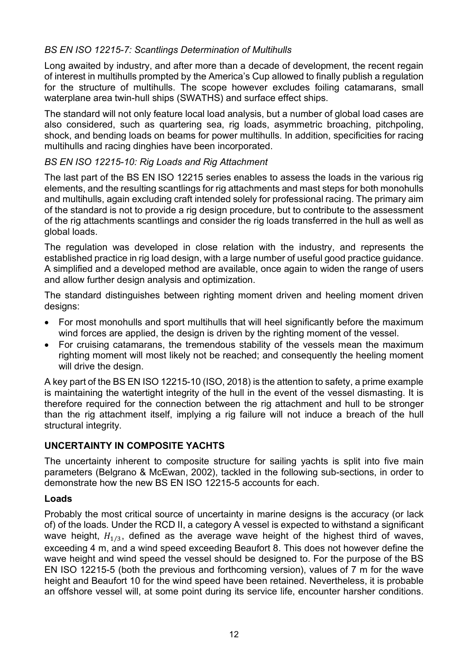# *BS EN ISO 12215-7: Scantlings Determination of Multihulls*

Long awaited by industry, and after more than a decade of development, the recent regain of interest in multihulls prompted by the America's Cup allowed to finally publish a regulation for the structure of multihulls. The scope however excludes foiling catamarans, small waterplane area twin-hull ships (SWATHS) and surface effect ships.

The standard will not only feature local load analysis, but a number of global load cases are also considered, such as quartering sea, rig loads, asymmetric broaching, pitchpoling, shock, and bending loads on beams for power multihulls. In addition, specificities for racing multihulls and racing dinghies have been incorporated.

### *BS EN ISO 12215-10: Rig Loads and Rig Attachment*

The last part of the BS EN ISO 12215 series enables to assess the loads in the various rig elements, and the resulting scantlings for rig attachments and mast steps for both monohulls and multihulls, again excluding craft intended solely for professional racing. The primary aim of the standard is not to provide a rig design procedure, but to contribute to the assessment of the rig attachments scantlings and consider the rig loads transferred in the hull as well as global loads.

The regulation was developed in close relation with the industry, and represents the established practice in rig load design, with a large number of useful good practice guidance. A simplified and a developed method are available, once again to widen the range of users and allow further design analysis and optimization.

The standard distinguishes between righting moment driven and heeling moment driven designs:

- For most monohulls and sport multihulls that will heel significantly before the maximum wind forces are applied, the design is driven by the righting moment of the vessel.
- For cruising catamarans, the tremendous stability of the vessels mean the maximum righting moment will most likely not be reached; and consequently the heeling moment will drive the design.

A key part of the BS EN ISO 12215-10 (ISO, 2018) is the attention to safety, a prime example is maintaining the watertight integrity of the hull in the event of the vessel dismasting. It is therefore required for the connection between the rig attachment and hull to be stronger than the rig attachment itself, implying a rig failure will not induce a breach of the hull structural integrity.

## **UNCERTAINTY IN COMPOSITE YACHTS**

The uncertainty inherent to composite structure for sailing yachts is split into five main parameters (Belgrano & McEwan, 2002), tackled in the following sub-sections, in order to demonstrate how the new BS EN ISO 12215-5 accounts for each.

#### **Loads**

Probably the most critical source of uncertainty in marine designs is the accuracy (or lack of) of the loads. Under the RCD II, a category A vessel is expected to withstand a significant wave height,  $H_{1/3}$ , defined as the average wave height of the highest third of waves, exceeding 4 m, and a wind speed exceeding Beaufort 8. This does not however define the wave height and wind speed the vessel should be designed to. For the purpose of the BS EN ISO 12215-5 (both the previous and forthcoming version), values of 7 m for the wave height and Beaufort 10 for the wind speed have been retained. Nevertheless, it is probable an offshore vessel will, at some point during its service life, encounter harsher conditions.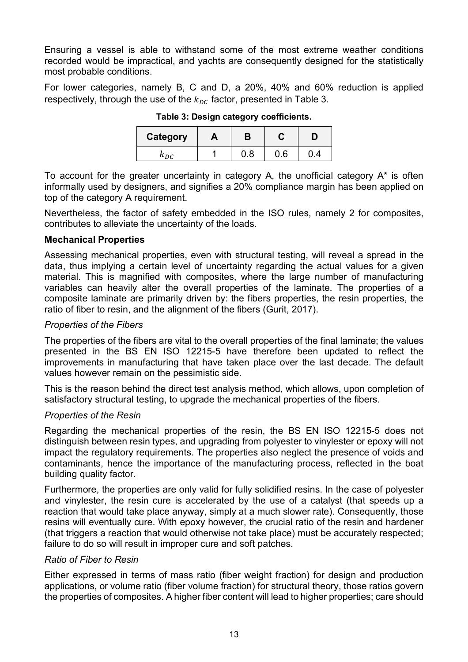Ensuring a vessel is able to withstand some of the most extreme weather conditions recorded would be impractical, and yachts are consequently designed for the statistically most probable conditions.

For lower categories, namely B, C and D, a 20%, 40% and 60% reduction is applied respectively, through the use of the  $k_{nc}$  factor, presented in Table 3.

| <b>Category</b> | m | В |   |  |
|-----------------|---|---|---|--|
| K.nr            |   |   | 6 |  |

**Table 3: Design category coefficients.**

To account for the greater uncertainty in category A, the unofficial category A\* is often informally used by designers, and signifies a 20% compliance margin has been applied on top of the category A requirement.

Nevertheless, the factor of safety embedded in the ISO rules, namely 2 for composites, contributes to alleviate the uncertainty of the loads.

### **Mechanical Properties**

Assessing mechanical properties, even with structural testing, will reveal a spread in the data, thus implying a certain level of uncertainty regarding the actual values for a given material. This is magnified with composites, where the large number of manufacturing variables can heavily alter the overall properties of the laminate. The properties of a composite laminate are primarily driven by: the fibers properties, the resin properties, the ratio of fiber to resin, and the alignment of the fibers (Gurit, 2017).

### *Properties of the Fibers*

The properties of the fibers are vital to the overall properties of the final laminate; the values presented in the BS EN ISO 12215-5 have therefore been updated to reflect the improvements in manufacturing that have taken place over the last decade. The default values however remain on the pessimistic side.

This is the reason behind the direct test analysis method, which allows, upon completion of satisfactory structural testing, to upgrade the mechanical properties of the fibers.

#### *Properties of the Resin*

Regarding the mechanical properties of the resin, the BS EN ISO 12215-5 does not distinguish between resin types, and upgrading from polyester to vinylester or epoxy will not impact the regulatory requirements. The properties also neglect the presence of voids and contaminants, hence the importance of the manufacturing process, reflected in the boat building quality factor.

Furthermore, the properties are only valid for fully solidified resins. In the case of polyester and vinylester, the resin cure is accelerated by the use of a catalyst (that speeds up a reaction that would take place anyway, simply at a much slower rate). Consequently, those resins will eventually cure. With epoxy however, the crucial ratio of the resin and hardener (that triggers a reaction that would otherwise not take place) must be accurately respected; failure to do so will result in improper cure and soft patches.

#### *Ratio of Fiber to Resin*

Either expressed in terms of mass ratio (fiber weight fraction) for design and production applications, or volume ratio (fiber volume fraction) for structural theory, those ratios govern the properties of composites. A higher fiber content will lead to higher properties; care should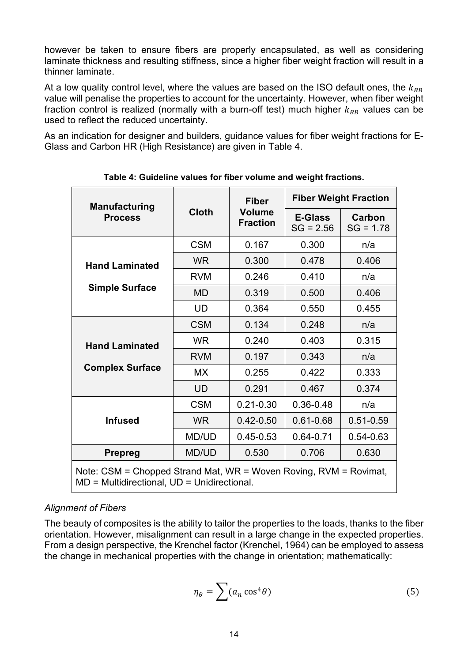however be taken to ensure fibers are properly encapsulated, as well as considering laminate thickness and resulting stiffness, since a higher fiber weight fraction will result in a thinner laminate.

At a low quality control level, where the values are based on the ISO default ones, the  $k_{BB}$ value will penalise the properties to account for the uncertainty. However, when fiber weight fraction control is realized (normally with a burn-off test) much higher  $k_{BR}$  values can be used to reflect the reduced uncertainty.

As an indication for designer and builders, guidance values for fiber weight fractions for E-Glass and Carbon HR (High Resistance) are given in Table 4.

| <b>Manufacturing</b>                                                                                                      | <b>Cloth</b> | <b>Fiber</b><br><b>Volume</b><br><b>Fraction</b> | <b>Fiber Weight Fraction</b>  |                       |  |
|---------------------------------------------------------------------------------------------------------------------------|--------------|--------------------------------------------------|-------------------------------|-----------------------|--|
| <b>Process</b>                                                                                                            |              |                                                  | <b>E-Glass</b><br>$SG = 2.56$ | Carbon<br>$SG = 1.78$ |  |
|                                                                                                                           | <b>CSM</b>   | 0.167                                            | 0.300                         | n/a                   |  |
| <b>Hand Laminated</b>                                                                                                     | <b>WR</b>    | 0.300                                            | 0.478                         | 0.406                 |  |
|                                                                                                                           | <b>RVM</b>   | 0.246                                            | 0.410                         | n/a                   |  |
| <b>Simple Surface</b>                                                                                                     | <b>MD</b>    | 0.319                                            | 0.500                         | 0.406                 |  |
|                                                                                                                           | <b>UD</b>    | 0.364                                            | 0.550                         | 0.455                 |  |
|                                                                                                                           | <b>CSM</b>   | 0.134                                            | 0.248                         | n/a                   |  |
| <b>Hand Laminated</b>                                                                                                     | <b>WR</b>    | 0.240                                            | 0.403                         | 0.315                 |  |
|                                                                                                                           | <b>RVM</b>   | 0.197                                            | 0.343                         | n/a                   |  |
| <b>Complex Surface</b>                                                                                                    | <b>MX</b>    | 0.255                                            | 0.422                         | 0.333                 |  |
|                                                                                                                           | <b>UD</b>    | 0.291                                            | 0.467                         | 0.374                 |  |
|                                                                                                                           | <b>CSM</b>   | $0.21 - 0.30$                                    | 0.36-0.48                     | n/a                   |  |
| <b>Infused</b>                                                                                                            | <b>WR</b>    | $0.42 - 0.50$                                    | $0.61 - 0.68$                 | $0.51 - 0.59$         |  |
|                                                                                                                           | MD/UD        | $0.45 - 0.53$                                    | 0.64-0.71                     | $0.54 - 0.63$         |  |
| <b>Prepreg</b>                                                                                                            | <b>MD/UD</b> | 0.530                                            | 0.706                         | 0.630                 |  |
| <u>Note:</u> CSM = Chopped Strand Mat, WR = Woven Roving, RVM = Rovimat,<br>$MD = Multidirectional, UD = Unidirectional.$ |              |                                                  |                               |                       |  |

**Table 4: Guideline values for fiber volume and weight fractions.**

# *Alignment of Fibers*

The beauty of composites is the ability to tailor the properties to the loads, thanks to the fiber orientation. However, misalignment can result in a large change in the expected properties. From a design perspective, the Krenchel factor (Krenchel, 1964) can be employed to assess the change in mechanical properties with the change in orientation; mathematically:

$$
\eta_{\theta} = \sum (a_n \cos^4 \theta) \tag{5}
$$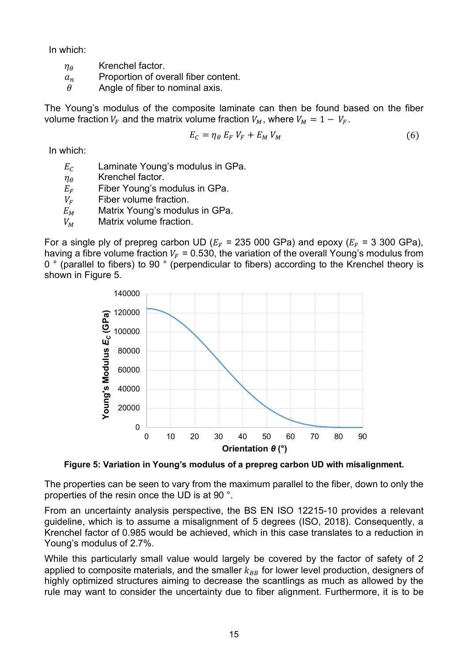In which:

- $\eta_{\theta}$  Krenchel factor.
- $a_n$  Proportion of overall fiber content.
- $\theta$  Angle of fiber to nominal axis.

The Young's modulus of the composite laminate can then be found based on the fiber volume fraction  $V_F$  and the matrix volume fraction  $V_M$ , where  $V_M = 1 - V_F$ .

$$
E_C = \eta_\theta \ E_F \ V_F + E_M \ V_M \tag{6}
$$

In which:

- $E_c$  Laminate Young's modulus in GPa.
- $\eta_{\theta}$  Krenchel factor.
- $E_F$  Fiber Young's modulus in GPa.
- $V_F$  Fiber volume fraction.
- $E_M$  Matrix Young's modulus in GPa.
- $V_M$  Matrix volume fraction.

For a single ply of prepreg carbon UD ( $E_F$  = 235 000 GPa) and epoxy ( $E_F$  = 3 300 GPa), having a fibre volume fraction  $V_F = 0.530$ , the variation of the overall Young's modulus from 0 ° (parallel to fibers) to 90 ° (perpendicular to fibers) according to the Krenchel theory is shown in Figure 5.



**Figure 5: Variation in Young's modulus of a prepreg carbon UD with misalignment.**

The properties can be seen to vary from the maximum parallel to the fiber, down to only the properties of the resin once the UD is at 90 °.

From an uncertainty analysis perspective, the BS EN ISO 12215-10 provides a relevant guideline, which is to assume a misalignment of 5 degrees (ISO, 2018). Consequently, a Krenchel factor of 0.985 would be achieved, which in this case translates to a reduction in Young's modulus of 2.7%.

While this particularly small value would largely be covered by the factor of safety of 2 applied to composite materials, and the smaller  $k_{BB}$  for lower level production, designers of highly optimized structures aiming to decrease the scantlings as much as allowed by the rule may want to consider the uncertainty due to fiber alignment. Furthermore, it is to be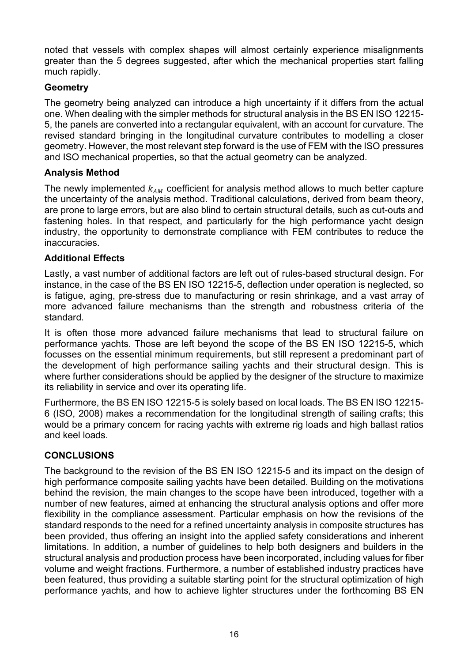noted that vessels with complex shapes will almost certainly experience misalignments greater than the 5 degrees suggested, after which the mechanical properties start falling much rapidly.

# **Geometry**

The geometry being analyzed can introduce a high uncertainty if it differs from the actual one. When dealing with the simpler methods for structural analysis in the BS EN ISO 12215- 5, the panels are converted into a rectangular equivalent, with an account for curvature. The revised standard bringing in the longitudinal curvature contributes to modelling a closer geometry. However, the most relevant step forward is the use of FEM with the ISO pressures and ISO mechanical properties, so that the actual geometry can be analyzed.

# **Analysis Method**

The newly implemented  $k_{AM}$  coefficient for analysis method allows to much better capture the uncertainty of the analysis method. Traditional calculations, derived from beam theory, are prone to large errors, but are also blind to certain structural details, such as cut-outs and fastening holes. In that respect, and particularly for the high performance yacht design industry, the opportunity to demonstrate compliance with FEM contributes to reduce the inaccuracies.

# **Additional Effects**

Lastly, a vast number of additional factors are left out of rules-based structural design. For instance, in the case of the BS EN ISO 12215-5, deflection under operation is neglected, so is fatigue, aging, pre-stress due to manufacturing or resin shrinkage, and a vast array of more advanced failure mechanisms than the strength and robustness criteria of the standard.

It is often those more advanced failure mechanisms that lead to structural failure on performance yachts. Those are left beyond the scope of the BS EN ISO 12215-5, which focusses on the essential minimum requirements, but still represent a predominant part of the development of high performance sailing yachts and their structural design. This is where further considerations should be applied by the designer of the structure to maximize its reliability in service and over its operating life.

Furthermore, the BS EN ISO 12215-5 is solely based on local loads. The BS EN ISO 12215- 6 (ISO, 2008) makes a recommendation for the longitudinal strength of sailing crafts; this would be a primary concern for racing yachts with extreme rig loads and high ballast ratios and keel loads.

## **CONCLUSIONS**

The background to the revision of the BS EN ISO 12215-5 and its impact on the design of high performance composite sailing yachts have been detailed. Building on the motivations behind the revision, the main changes to the scope have been introduced, together with a number of new features, aimed at enhancing the structural analysis options and offer more flexibility in the compliance assessment. Particular emphasis on how the revisions of the standard responds to the need for a refined uncertainty analysis in composite structures has been provided, thus offering an insight into the applied safety considerations and inherent limitations. In addition, a number of guidelines to help both designers and builders in the structural analysis and production process have been incorporated, including values for fiber volume and weight fractions. Furthermore, a number of established industry practices have been featured, thus providing a suitable starting point for the structural optimization of high performance yachts, and how to achieve lighter structures under the forthcoming BS EN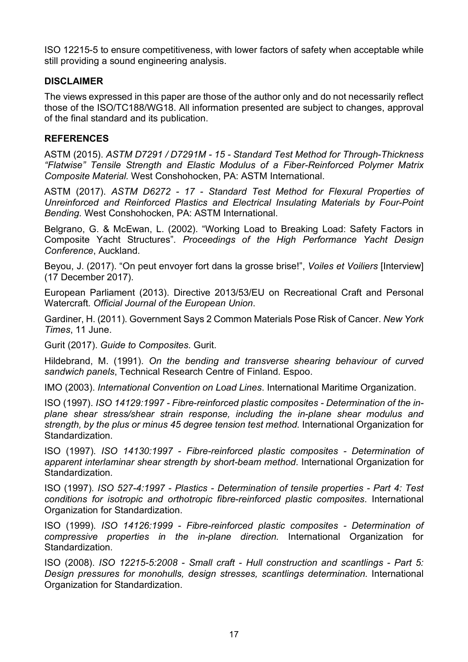ISO 12215-5 to ensure competitiveness, with lower factors of safety when acceptable while still providing a sound engineering analysis.

### **DISCLAIMER**

The views expressed in this paper are those of the author only and do not necessarily reflect those of the ISO/TC188/WG18. All information presented are subject to changes, approval of the final standard and its publication.

### **REFERENCES**

ASTM (2015). *ASTM D7291 / D7291M - 15 - Standard Test Method for Through-Thickness "Flatwise" Tensile Strength and Elastic Modulus of a Fiber-Reinforced Polymer Matrix Composite Material.* West Conshohocken, PA: ASTM International.

ASTM (2017). *ASTM D6272 - 17 - Standard Test Method for Flexural Properties of Unreinforced and Reinforced Plastics and Electrical Insulating Materials by Four-Point Bending.* West Conshohocken, PA: ASTM International.

Belgrano, G. & McEwan, L. (2002). "Working Load to Breaking Load: Safety Factors in Composite Yacht Structures". *Proceedings of the High Performance Yacht Design Conference*, Auckland.

Beyou, J. (2017). "On peut envoyer fort dans la grosse brise!", *Voiles et Voiliers* [Interview] (17 December 2017).

European Parliament (2013). Directive 2013/53/EU on Recreational Craft and Personal Watercraft. *Official Journal of the European Union*.

Gardiner, H. (2011). Government Says 2 Common Materials Pose Risk of Cancer. *New York Times*, 11 June.

Gurit (2017). *Guide to Composites*. Gurit.

Hildebrand, M. (1991). *On the bending and transverse shearing behaviour of curved sandwich panels*, Technical Research Centre of Finland. Espoo.

IMO (2003). *International Convention on Load Lines*. International Maritime Organization.

ISO (1997). *ISO 14129:1997 - Fibre-reinforced plastic composites - Determination of the inplane shear stress/shear strain response, including the in-plane shear modulus and strength, by the plus or minus 45 degree tension test method.* International Organization for Standardization.

ISO (1997). *ISO 14130:1997 - Fibre-reinforced plastic composites - Determination of apparent interlaminar shear strength by short-beam method*. International Organization for Standardization.

ISO (1997). *ISO 527-4:1997 - Plastics - Determination of tensile properties - Part 4: Test conditions for isotropic and orthotropic fibre-reinforced plastic composites*. International Organization for Standardization.

ISO (1999). *ISO 14126:1999 - Fibre-reinforced plastic composites - Determination of compressive properties in the in-plane direction.* International Organization for Standardization.

ISO (2008). *ISO 12215-5:2008 - Small craft - Hull construction and scantlings - Part 5: Design pressures for monohulls, design stresses, scantlings determination*. International Organization for Standardization.